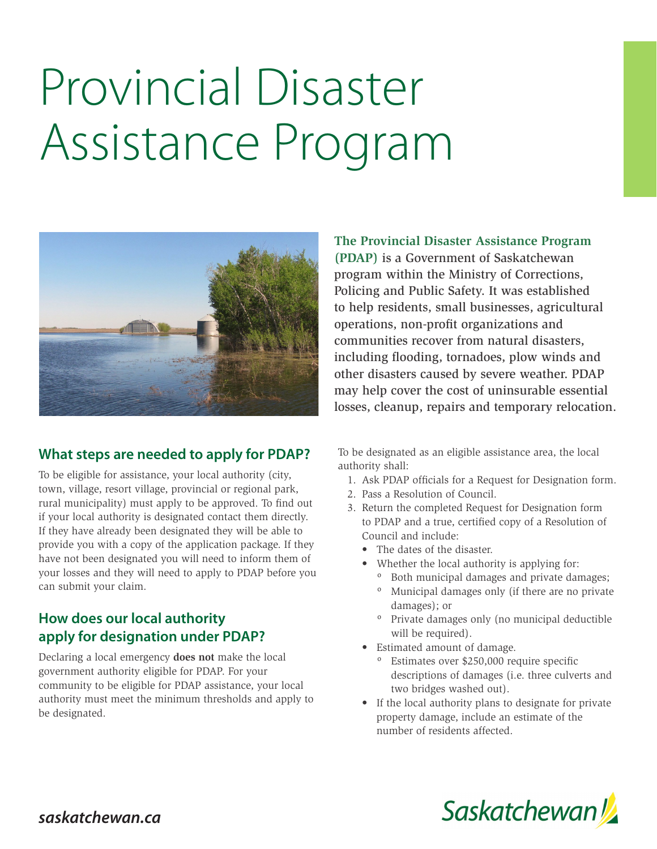# Provincial Disaster Assistance Program



#### **What steps are needed to apply for PDAP?**

To be eligible for assistance, your local authority (city, town, village, resort village, provincial or regional park, rural municipality) must apply to be approved. To find out if your local authority is designated contact them directly. If they have already been designated they will be able to provide you with a copy of the application package. If they have not been designated you will need to inform them of your losses and they will need to apply to PDAP before you can submit your claim.

#### **How does our local authority apply for designation under PDAP?**

Declaring a local emergency **does not** make the local government authority eligible for PDAP. For your community to be eligible for PDAP assistance, your local authority must meet the minimum thresholds and apply to be designated.

**The Provincial Disaster Assistance Program (PDAP)** is a Government of Saskatchewan program within the Ministry of Corrections, Policing and Public Safety. It was established to help residents, small businesses, agricultural operations, non-profit organizations and communities recover from natural disasters, including flooding, tornadoes, plow winds and other disasters caused by severe weather. PDAP may help cover the cost of uninsurable essential losses, cleanup, repairs and temporary relocation.

To be designated as an eligible assistance area, the local authority shall:

- 1. Ask PDAP officials for a Request for Designation form.
- 2. Pass a Resolution of Council.
- 3. Return the completed Request for Designation form to PDAP and a true, certified copy of a Resolution of Council and include:
	- The dates of the disaster.
	- Whether the local authority is applying for:
		- º Both municipal damages and private damages; º Municipal damages only (if there are no private
		- damages); or º Private damages only (no municipal deductible will be required).
	- Estimated amount of damage.
		- º Estimates over \$250,000 require specific descriptions of damages (i.e. three culverts and two bridges washed out).
	- If the local authority plans to designate for private property damage, include an estimate of the number of residents affected.